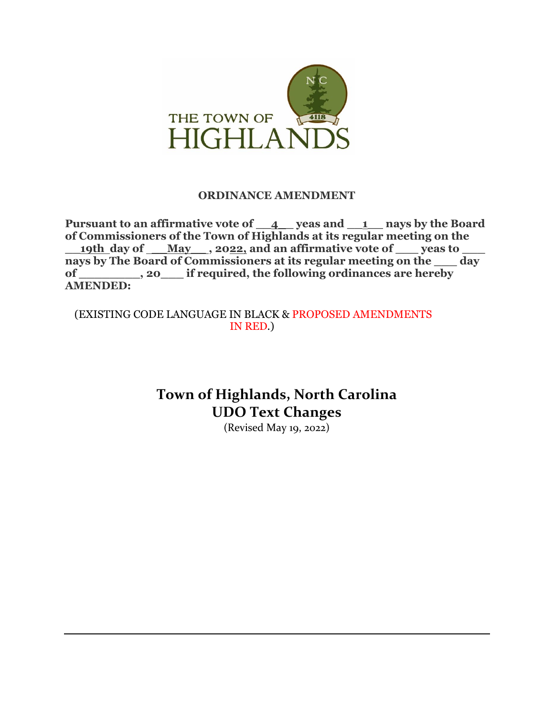

#### **ORDINANCE AMENDMENT**

**Pursuant to an affirmative vote of \_\_4\_\_ yeas and \_\_1\_\_ nays by the Board of Commissioners of the Town of Highlands at its regular meeting on the** 19th day of May  $\Box$ , 2022, and an affirmative vote of yeas to **nays by The Board of Commissioners at its regular meeting on the day of \_\_\_\_\_\_\_\_, 20\_\_\_ if required, the following ordinances are hereby AMENDED:** 

(EXISTING CODE LANGUAGE IN BLACK & PROPOSED AMENDMENTS IN RED.)

> **Town of Highlands, North Carolina UDO Text Changes**

> > (Revised May 19, 2022)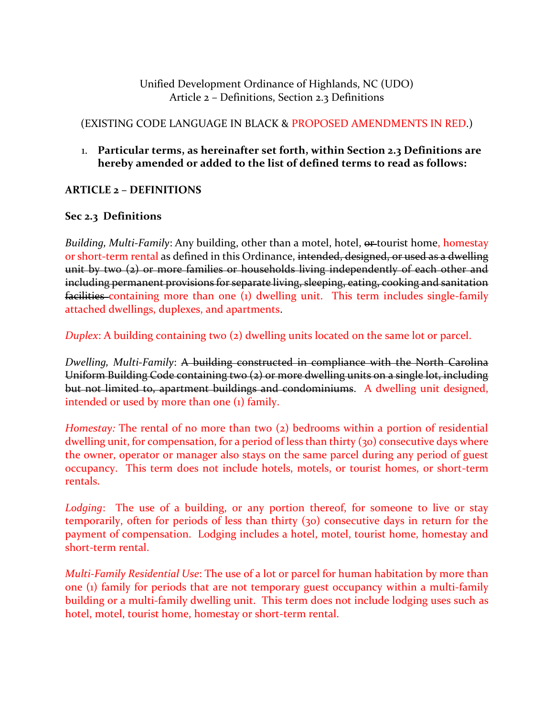## Unified Development Ordinance of Highlands, NC (UDO) Article 2 – Definitions, Section 2.3 Definitions

# (EXISTING CODE LANGUAGE IN BLACK & PROPOSED AMENDMENTS IN RED.)

## 1. **Particular terms, as hereinafter set forth, within Section 2.3 Definitions are hereby amended or added to the list of defined terms to read as follows:**

# **ARTICLE 2 – DEFINITIONS**

# **Sec 2.3 Definitions**

*Building, Multi-Family: Any building, other than a motel, hotel, ex-tourist home, homestay* or short-term rental as defined in this Ordinance, intended, designed, or used as a dwelling unit by two (2) or more families or households living independently of each other and including permanent provisions for separate living, sleeping, eating, cooking and sanitation facilities containing more than one (1) dwelling unit. This term includes single-family attached dwellings, duplexes, and apartments.

*Duplex*: A building containing two (2) dwelling units located on the same lot or parcel.

*Dwelling, Multi-Family*: A building constructed in compliance with the North Carolina Uniform Building Code containing two (2) or more dwelling units on a single lot, including but not limited to, apartment buildings and condominiums. A dwelling unit designed, intended or used by more than one (1) family.

*Homestay:* The rental of no more than two (2) bedrooms within a portion of residential dwelling unit, for compensation, for a period of less than thirty (30) consecutive days where the owner, operator or manager also stays on the same parcel during any period of guest occupancy. This term does not include hotels, motels, or tourist homes, or short-term rentals.

*Lodging*: The use of a building, or any portion thereof, for someone to live or stay temporarily, often for periods of less than thirty (30) consecutive days in return for the payment of compensation. Lodging includes a hotel, motel, tourist home, homestay and short-term rental.

*Multi-Family Residential Use*: The use of a lot or parcel for human habitation by more than one (1) family for periods that are not temporary guest occupancy within a multi-family building or a multi-family dwelling unit. This term does not include lodging uses such as hotel, motel, tourist home, homestay or short-term rental.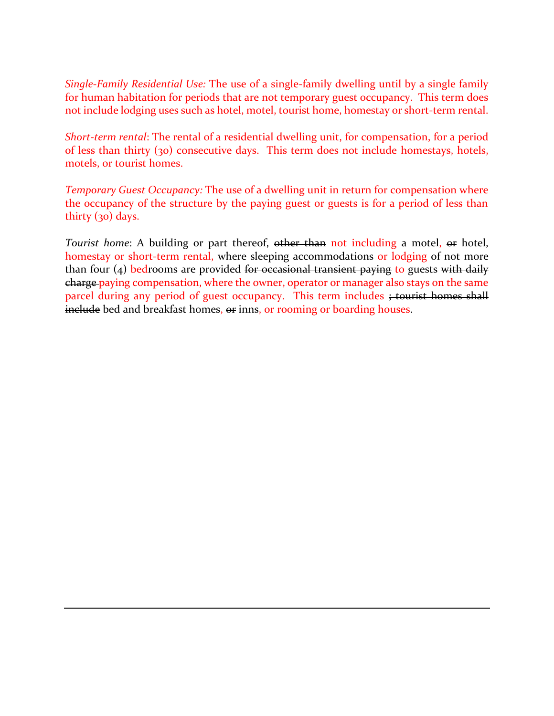*Single-Family Residential Use:* The use of a single-family dwelling until by a single family for human habitation for periods that are not temporary guest occupancy. This term does not include lodging uses such as hotel, motel, tourist home, homestay or short-term rental.

*Short-term rental*: The rental of a residential dwelling unit, for compensation, for a period of less than thirty (30) consecutive days. This term does not include homestays, hotels, motels, or tourist homes.

*Temporary Guest Occupancy:* The use of a dwelling unit in return for compensation where the occupancy of the structure by the paying guest or guests is for a period of less than thirty (30) days.

*Tourist home:* A building or part thereof, other than not including a motel, or hotel, homestay or short-term rental, where sleeping accommodations or lodging of not more than four  $(4)$  bedrooms are provided for occasional transient paying to guests with daily charge paying compensation, where the owner, operator or manager also stays on the same parcel during any period of guest occupancy. This term includes ; tourist homes shall include bed and breakfast homes,  $\Theta$  inns, or rooming or boarding houses.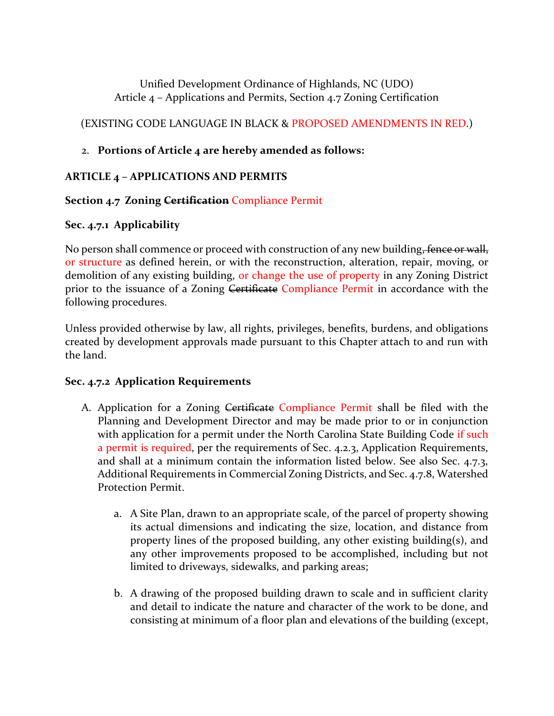Unified Development Ordinance of Highlands, NC (UDO) Article 4 – Applications and Permits, Section 4.7 Zoning Certification

# (EXISTING CODE LANGUAGE IN BLACK & PROPOSED AMENDMENTS IN RED.)

# 2. **Portions of Article 4 are hereby amended as follows:**

# **ARTICLE 4 – APPLICATIONS AND PERMITS**

# **Section 4.7 Zoning Certification** Compliance Permit

# **Sec. 4.7.1 Applicability**

No person shall commence or proceed with construction of any new building, fence or wall, or structure as defined herein, or with the reconstruction, alteration, repair, moving, or demolition of any existing building, or change the use of property in any Zoning District prior to the issuance of a Zoning Certificate Compliance Permit in accordance with the following procedures.

Unless provided otherwise by law, all rights, privileges, benefits, burdens, and obligations created by development approvals made pursuant to this Chapter attach to and run with the land.

## **Sec. 4.7.2 Application Requirements**

- A. Application for a Zoning Certificate Compliance Permit shall be filed with the Planning and Development Director and may be made prior to or in conjunction with application for a permit under the North Carolina State Building Code if such a permit is required, per the requirements of Sec. 4.2.3, Application Requirements, and shall at a minimum contain the information listed below. See also Sec. 4.7.3, Additional Requirements in Commercial Zoning Districts, and Sec. 4.7.8, Watershed Protection Permit.
	- a. A Site Plan, drawn to an appropriate scale, of the parcel of property showing its actual dimensions and indicating the size, location, and distance from property lines of the proposed building, any other existing building(s), and any other improvements proposed to be accomplished, including but not limited to driveways, sidewalks, and parking areas;
	- b. A drawing of the proposed building drawn to scale and in sufficient clarity and detail to indicate the nature and character of the work to be done, and consisting at minimum of a floor plan and elevations of the building (except,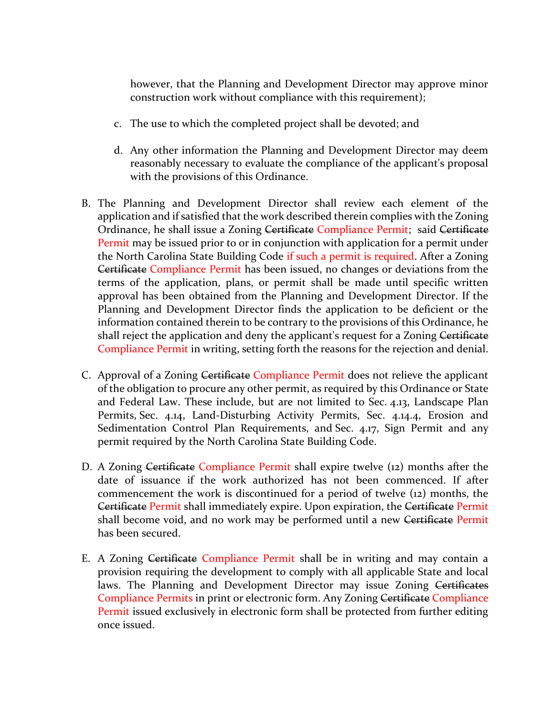however, that the Planning and Development Director may approve minor construction work without compliance with this requirement);

- c. The use to which the completed project shall be devoted; and
- d. Any other information the Planning and Development Director may deem reasonably necessary to evaluate the compliance of the applicant's proposal with the provisions of this Ordinance.
- B. The Planning and Development Director shall review each element of the application and if satisfied that the work described therein complies with the Zoning Ordinance, he shall issue a Zoning Certificate Compliance Permit; said Certificate Permit may be issued prior to or in conjunction with application for a permit under the North Carolina State Building Code if such a permit is required. After a Zoning Certificate Compliance Permit has been issued, no changes or deviations from the terms of the application, plans, or permit shall be made until specific written approval has been obtained from the Planning and Development Director. If the Planning and Development Director finds the application to be deficient or the information contained therein to be contrary to the provisions of this Ordinance, he shall reject the application and deny the applicant's request for a Zoning Certificate Compliance Permit in writing, setting forth the reasons for the rejection and denial.
- C. Approval of a Zoning Certificate Compliance Permit does not relieve the applicant of the obligation to procure any other permit, as required by this Ordinance or State and Federal Law. These include, but are not limited to Sec. 4.13, Landscape Plan Permits, Sec. 4.14, Land-Disturbing Activity Permits, Sec. 4.14.4, Erosion and Sedimentation Control Plan Requirements, and Sec. 4.17, Sign Permit and any permit required by the North Carolina State Building Code.
- D. A Zoning Certificate Compliance Permit shall expire twelve (12) months after the date of issuance if the work authorized has not been commenced. If after commencement the work is discontinued for a period of twelve (12) months, the Certificate Permit shall immediately expire. Upon expiration, the Certificate Permit shall become void, and no work may be performed until a new Certificate Permit has been secured.
- E. A Zoning Certificate Compliance Permit shall be in writing and may contain a provision requiring the development to comply with all applicable State and local laws. The Planning and Development Director may issue Zoning Certificates Compliance Permits in print or electronic form. Any Zoning Certificate Compliance Permit issued exclusively in electronic form shall be protected from further editing once issued.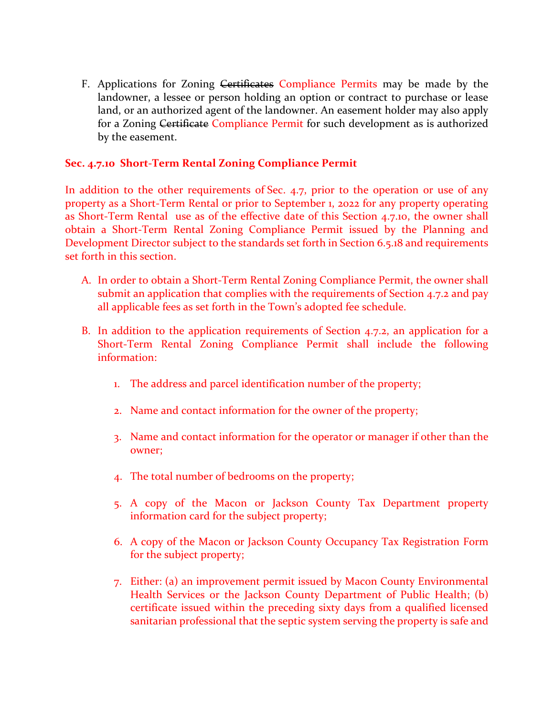F. Applications for Zoning Certificates Compliance Permits may be made by the landowner, a lessee or person holding an option or contract to purchase or lease land, or an authorized agent of the landowner. An easement holder may also apply for a Zoning Certificate Compliance Permit for such development as is authorized by the easement.

#### **Sec. 4.7.10 Short-Term Rental Zoning Compliance Permit**

In addition to the other requirements of Sec. 4.7, prior to the operation or use of any property as a Short-Term Rental or prior to September 1, 2022 for any property operating as Short-Term Rental use as of the effective date of this Section 4.7.10, the owner shall obtain a Short-Term Rental Zoning Compliance Permit issued by the Planning and Development Director subject to the standards set forth in Section 6.5.18 and requirements set forth in this section.

- A. In order to obtain a Short-Term Rental Zoning Compliance Permit, the owner shall submit an application that complies with the requirements of Section 4.7.2 and pay all applicable fees as set forth in the Town's adopted fee schedule.
- B. In addition to the application requirements of Section 4.7.2, an application for a Short-Term Rental Zoning Compliance Permit shall include the following information:
	- 1. The address and parcel identification number of the property;
	- 2. Name and contact information for the owner of the property;
	- 3. Name and contact information for the operator or manager if other than the owner;
	- 4. The total number of bedrooms on the property;
	- 5. A copy of the Macon or Jackson County Tax Department property information card for the subject property;
	- 6. A copy of the Macon or Jackson County Occupancy Tax Registration Form for the subject property;
	- 7. Either: (a) an improvement permit issued by Macon County Environmental Health Services or the Jackson County Department of Public Health; (b) certificate issued within the preceding sixty days from a qualified licensed sanitarian professional that the septic system serving the property is safe and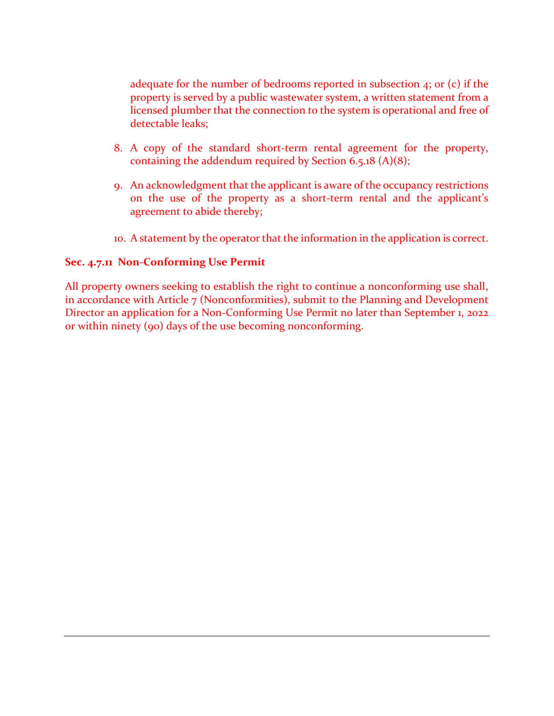adequate for the number of bedrooms reported in subsection 4; or (c) if the property is served by a public wastewater system, a written statement from a licensed plumber that the connection to the system is operational and free of detectable leaks;

- 8. A copy of the standard short-term rental agreement for the property, containing the addendum required by Section 6.5.18 (A)(8);
- 9. An acknowledgment that the applicant is aware of the occupancy restrictions on the use of the property as a short-term rental and the applicant's agreement to abide thereby;
- 10. A statement by the operator that the information in the application is correct.

#### **Sec. 4.7.11 Non-Conforming Use Permit**

All property owners seeking to establish the right to continue a nonconforming use shall, in accordance with Article 7 (Nonconformities), submit to the Planning and Development Director an application for a Non-Conforming Use Permit no later than September 1, 2022 or within ninety (90) days of the use becoming nonconforming.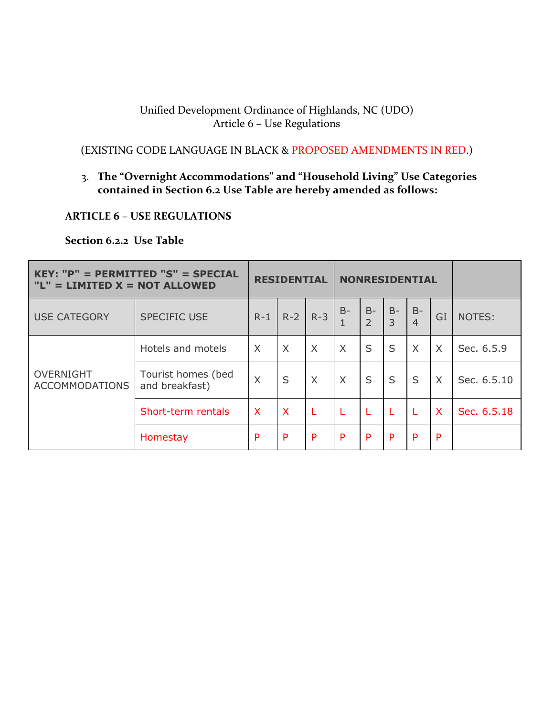## Unified Development Ordinance of Highlands, NC (UDO) Article 6 – Use Regulations

# (EXISTING CODE LANGUAGE IN BLACK & PROPOSED AMENDMENTS IN RED.)

3. **The "Overnight Accommodations" and "Household Living" Use Categories contained in Section 6.2 Use Table are hereby amended as follows:**

#### **ARTICLE 6 – USE REGULATIONS**

## **Section 6.2.2 Use Table**

| $KEY: "P" = PERMITTED "S" = SPECIAL$<br>"L" = LIMITED $X = NOT ALLOWED$ |                                      | <b>RESIDENTIAL</b>      |              |          | <b>NONRESIDENTIAL</b> |                                   |                        |                         |                         |             |
|-------------------------------------------------------------------------|--------------------------------------|-------------------------|--------------|----------|-----------------------|-----------------------------------|------------------------|-------------------------|-------------------------|-------------|
| <b>USE CATEGORY</b>                                                     | <b>SPECIFIC USE</b>                  | $R-1$                   | $R - 2$      | $R-3$    | $B -$                 | $B -$<br>$\overline{\phantom{a}}$ | $B-$<br>$\overline{3}$ | $B -$<br>$\overline{4}$ | GI                      | NOTES:      |
| <b>OVERNIGHT</b><br><b>ACCOMMODATIONS</b>                               | Hotels and motels                    | $\times$                | X            | $\times$ | $\times$              | S                                 | S                      | X                       | X                       | Sec. 6.5.9  |
|                                                                         | Tourist homes (bed<br>and breakfast) | $\times$                | S            | $\times$ | $\times$              | S                                 | S                      | S                       | $\times$                | Sec. 6.5.10 |
|                                                                         | Short-term rentals                   | $\overline{\mathsf{x}}$ | $\mathsf{X}$ |          |                       |                                   |                        | L                       | $\overline{\mathsf{X}}$ | Sec. 6.5.18 |
|                                                                         | Homestay                             | P                       | P            | P        | P                     | P                                 | P                      | P                       | P                       |             |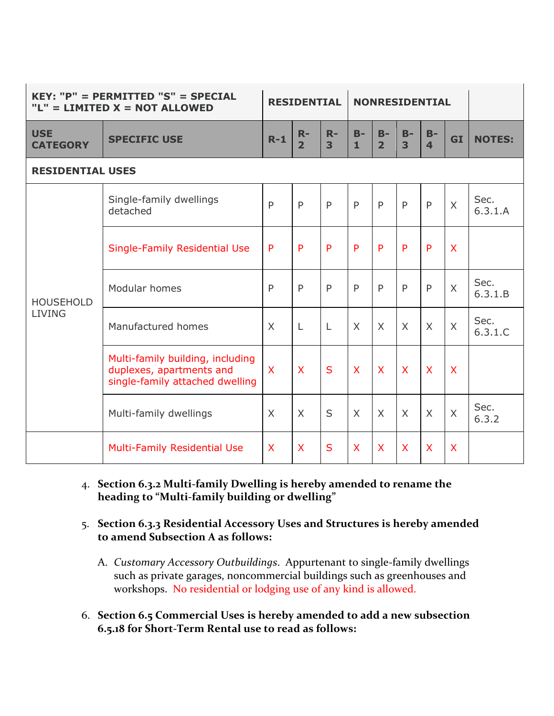| KEY: "P" = PERMITTED "S" = SPECIAL<br>"L" = LIMITED $X = NOT ALLOWED$ |                                                                                                 |              | <b>RESIDENTIAL</b>      |                                 | <b>NONRESIDENTIAL</b>   |                         |                         |                                  |                         |                 |
|-----------------------------------------------------------------------|-------------------------------------------------------------------------------------------------|--------------|-------------------------|---------------------------------|-------------------------|-------------------------|-------------------------|----------------------------------|-------------------------|-----------------|
| <b>USE</b><br><b>CATEGORY</b>                                         | <b>SPECIFIC USE</b>                                                                             | $R-1$        | $R -$<br>$\overline{2}$ | $R-$<br>$\overline{\mathbf{3}}$ | $B -$<br>1              | $B -$<br>$\overline{2}$ | $B -$<br>3              | $B -$<br>$\overline{\mathbf{4}}$ | <b>GI</b>               | <b>NOTES:</b>   |
| <b>RESIDENTIAL USES</b>                                               |                                                                                                 |              |                         |                                 |                         |                         |                         |                                  |                         |                 |
| <b>HOUSEHOLD</b><br><b>LIVING</b>                                     | Single-family dwellings<br>detached                                                             | P            | $\mathsf{P}$            | $\mathsf{P}$                    | $\mathsf{P}$            | $\mathsf{P}$            | $\mathsf{P}$            | $\mathsf{P}$                     | $\times$                | Sec.<br>6.3.1.A |
|                                                                       | Single-Family Residential Use                                                                   | P            | P                       | P                               | P                       | P                       | P                       | P                                | $\overline{\mathsf{X}}$ |                 |
|                                                                       | Modular homes                                                                                   | P            | $\mathsf{P}$            | $\mathsf{P}$                    | $\mathsf{P}$            | $\mathsf{P}$            | $\mathsf{P}$            | $\mathsf{P}$                     | $\sf X$                 | Sec.<br>6.3.1.B |
|                                                                       | Manufactured homes                                                                              | $\times$     | L                       | L                               | $\times$                | $\times$                | $\times$                | $\chi$                           | $\chi$                  | Sec.<br>6.3.1.C |
|                                                                       | Multi-family building, including<br>duplexes, apartments and<br>single-family attached dwelling | $\mathsf{X}$ | $\overline{X}$          | $\mathsf{S}$                    | $\overline{\mathsf{X}}$ | $\overline{\mathsf{X}}$ | $\overline{\mathsf{X}}$ | $\overline{\mathsf{X}}$          | $\overline{\mathsf{X}}$ |                 |
|                                                                       | Multi-family dwellings                                                                          | $\chi$       | $\chi$                  | S                               | $\chi$                  | $\chi$                  | $\times$                | $\chi$                           | $\sf X$                 | Sec.<br>6.3.2   |
|                                                                       | <b>Multi-Family Residential Use</b>                                                             | X            | X                       | S                               | $\mathsf{X}$            | X                       | $\sf X$                 | X                                | X                       |                 |

- 4. **Section 6.3.2 Multi-family Dwelling is hereby amended to rename the heading to "Multi-family building or dwelling"**
- 5. **Section 6.3.3 Residential Accessory Uses and Structures is hereby amended to amend Subsection A as follows:**
	- A. *Customary Accessory Outbuildings*. Appurtenant to single-family dwellings such as private garages, noncommercial buildings such as greenhouses and workshops. No residential or lodging use of any kind is allowed.
- 6. **Section 6.5 Commercial Uses is hereby amended to add a new subsection 6.5.18 for Short-Term Rental use to read as follows:**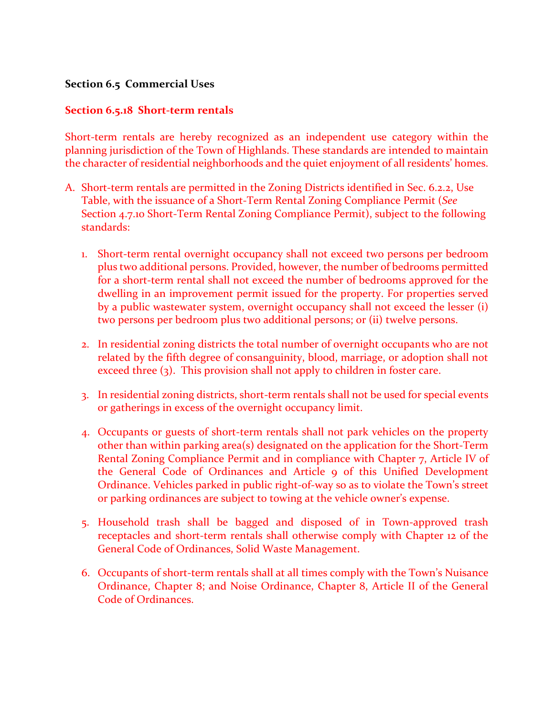#### **Section 6.5 Commercial Uses**

#### **Section 6.5.18 Short-term rentals**

Short-term rentals are hereby recognized as an independent use category within the planning jurisdiction of the Town of Highlands. These standards are intended to maintain the character of residential neighborhoods and the quiet enjoyment of all residents' homes.

- A. Short-term rentals are permitted in the Zoning Districts identified in Sec. 6.2.2, Use Table, with the issuance of a Short-Term Rental Zoning Compliance Permit (*See* Section 4.7.10 Short-Term Rental Zoning Compliance Permit), subject to the following standards:
	- 1. Short-term rental overnight occupancy shall not exceed two persons per bedroom plus two additional persons. Provided, however, the number of bedrooms permitted for a short-term rental shall not exceed the number of bedrooms approved for the dwelling in an improvement permit issued for the property. For properties served by a public wastewater system, overnight occupancy shall not exceed the lesser (i) two persons per bedroom plus two additional persons; or (ii) twelve persons.
	- 2. In residential zoning districts the total number of overnight occupants who are not related by the fifth degree of consanguinity, blood, marriage, or adoption shall not exceed three (3). This provision shall not apply to children in foster care.
	- 3. In residential zoning districts, short-term rentals shall not be used for special events or gatherings in excess of the overnight occupancy limit.
	- 4. Occupants or guests of short-term rentals shall not park vehicles on the property other than within parking area(s) designated on the application for the Short-Term Rental Zoning Compliance Permit and in compliance with Chapter 7, Article IV of the General Code of Ordinances and Article 9 of this Unified Development Ordinance. Vehicles parked in public right-of-way so as to violate the Town's street or parking ordinances are subject to towing at the vehicle owner's expense.
	- 5. Household trash shall be bagged and disposed of in Town-approved trash receptacles and short-term rentals shall otherwise comply with Chapter 12 of the General Code of Ordinances, Solid Waste Management.
	- 6. Occupants of short-term rentals shall at all times comply with the Town's Nuisance Ordinance, Chapter 8; and Noise Ordinance, Chapter 8, Article II of the General Code of Ordinances.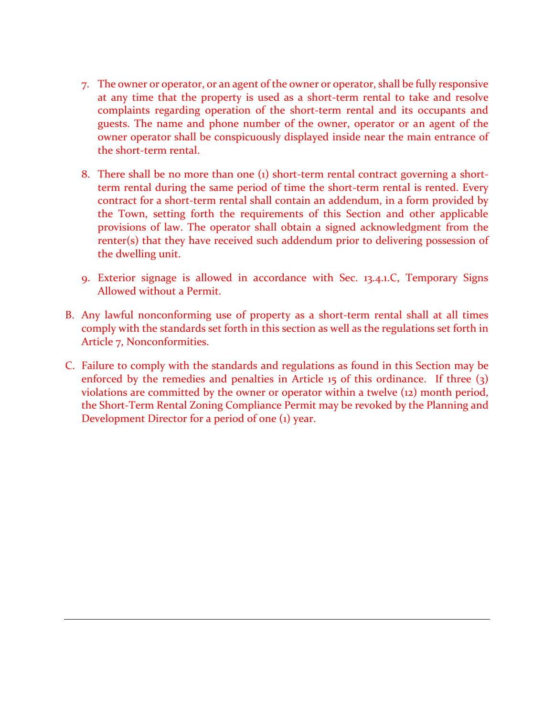- 7. The owner or operator, or an agent of the owner or operator, shall be fully responsive at any time that the property is used as a short-term rental to take and resolve complaints regarding operation of the short-term rental and its occupants and guests. The name and phone number of the owner, operator or an agent of the owner operator shall be conspicuously displayed inside near the main entrance of the short-term rental.
- 8. There shall be no more than one (1) short-term rental contract governing a shortterm rental during the same period of time the short-term rental is rented. Every contract for a short-term rental shall contain an addendum, in a form provided by the Town, setting forth the requirements of this Section and other applicable provisions of law. The operator shall obtain a signed acknowledgment from the renter(s) that they have received such addendum prior to delivering possession of the dwelling unit.
- 9. Exterior signage is allowed in accordance with Sec. 13.4.1.C, Temporary Signs Allowed without a Permit.
- B. Any lawful nonconforming use of property as a short-term rental shall at all times comply with the standards set forth in this section as well as the regulations set forth in Article 7, Nonconformities.
- C. Failure to comply with the standards and regulations as found in this Section may be enforced by the remedies and penalties in Article 15 of this ordinance. If three (3) violations are committed by the owner or operator within a twelve (12) month period, the Short-Term Rental Zoning Compliance Permit may be revoked by the Planning and Development Director for a period of one (1) year.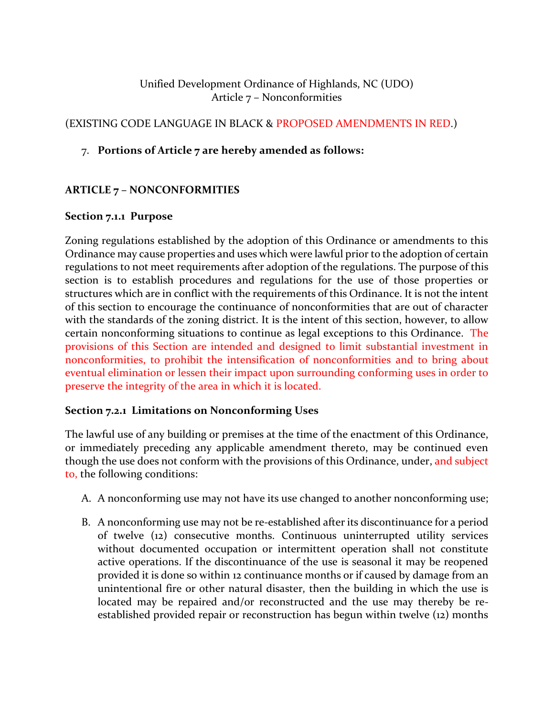## Unified Development Ordinance of Highlands, NC (UDO) Article 7 – Nonconformities

# (EXISTING CODE LANGUAGE IN BLACK & PROPOSED AMENDMENTS IN RED.)

## 7. **Portions of Article 7 are hereby amended as follows:**

# **ARTICLE 7 – NONCONFORMITIES**

#### **Section 7.1.1 Purpose**

Zoning regulations established by the adoption of this Ordinance or amendments to this Ordinance may cause properties and uses which were lawful prior to the adoption of certain regulations to not meet requirements after adoption of the regulations. The purpose of this section is to establish procedures and regulations for the use of those properties or structures which are in conflict with the requirements of this Ordinance. It is not the intent of this section to encourage the continuance of nonconformities that are out of character with the standards of the zoning district. It is the intent of this section, however, to allow certain nonconforming situations to continue as legal exceptions to this Ordinance. The provisions of this Section are intended and designed to limit substantial investment in nonconformities, to prohibit the intensification of nonconformities and to bring about eventual elimination or lessen their impact upon surrounding conforming uses in order to preserve the integrity of the area in which it is located.

#### **Section 7.2.1 Limitations on Nonconforming Uses**

The lawful use of any building or premises at the time of the enactment of this Ordinance, or immediately preceding any applicable amendment thereto, may be continued even though the use does not conform with the provisions of this Ordinance, under, and subject to, the following conditions:

- A. A nonconforming use may not have its use changed to another nonconforming use;
- B. A nonconforming use may not be re-established after its discontinuance for a period of twelve (12) consecutive months. Continuous uninterrupted utility services without documented occupation or intermittent operation shall not constitute active operations. If the discontinuance of the use is seasonal it may be reopened provided it is done so within 12 continuance months or if caused by damage from an unintentional fire or other natural disaster, then the building in which the use is located may be repaired and/or reconstructed and the use may thereby be reestablished provided repair or reconstruction has begun within twelve (12) months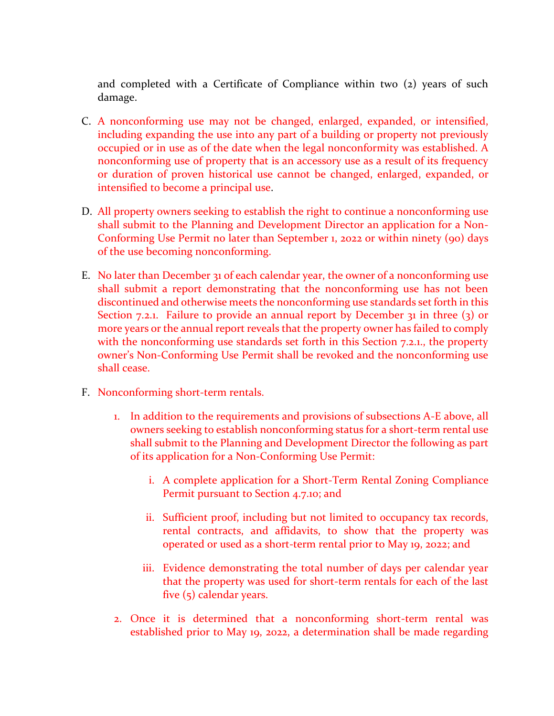and completed with a Certificate of Compliance within two (2) years of such damage.

- C. A nonconforming use may not be changed, enlarged, expanded, or intensified, including expanding the use into any part of a building or property not previously occupied or in use as of the date when the legal nonconformity was established. A nonconforming use of property that is an accessory use as a result of its frequency or duration of proven historical use cannot be changed, enlarged, expanded, or intensified to become a principal use.
- D. All property owners seeking to establish the right to continue a nonconforming use shall submit to the Planning and Development Director an application for a Non-Conforming Use Permit no later than September 1, 2022 or within ninety (90) days of the use becoming nonconforming.
- E. No later than December 31 of each calendar year, the owner of a nonconforming use shall submit a report demonstrating that the nonconforming use has not been discontinued and otherwise meets the nonconforming use standards set forth in this Section 7.2.1. Failure to provide an annual report by December 31 in three (3) or more years or the annual report reveals that the property owner has failed to comply with the nonconforming use standards set forth in this Section 7.2.1., the property owner's Non-Conforming Use Permit shall be revoked and the nonconforming use shall cease.
- F. Nonconforming short-term rentals.
	- 1. In addition to the requirements and provisions of subsections A-E above, all owners seeking to establish nonconforming status for a short-term rental use shall submit to the Planning and Development Director the following as part of its application for a Non-Conforming Use Permit:
		- i. A complete application for a Short-Term Rental Zoning Compliance Permit pursuant to Section 4.7.10; and
		- ii. Sufficient proof, including but not limited to occupancy tax records, rental contracts, and affidavits, to show that the property was operated or used as a short-term rental prior to May 19, 2022; and
		- iii. Evidence demonstrating the total number of days per calendar year that the property was used for short-term rentals for each of the last five (5) calendar years.
	- 2. Once it is determined that a nonconforming short-term rental was established prior to May 19, 2022, a determination shall be made regarding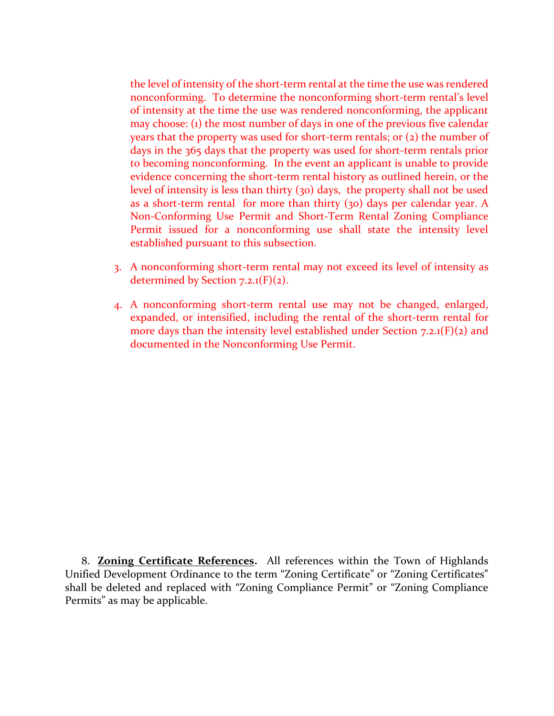the level of intensity of the short-term rental at the time the use was rendered nonconforming. To determine the nonconforming short-term rental's level of intensity at the time the use was rendered nonconforming, the applicant may choose: (1) the most number of days in one of the previous five calendar years that the property was used for short-term rentals; or (2) the number of days in the 365 days that the property was used for short-term rentals prior to becoming nonconforming. In the event an applicant is unable to provide evidence concerning the short-term rental history as outlined herein, or the level of intensity is less than thirty (30) days, the property shall not be used as a short-term rental for more than thirty (30) days per calendar year. A Non-Conforming Use Permit and Short-Term Rental Zoning Compliance Permit issued for a nonconforming use shall state the intensity level established pursuant to this subsection.

- 3. A nonconforming short-term rental may not exceed its level of intensity as determined by Section  $7.2.1(F)(2)$ .
- 4. A nonconforming short-term rental use may not be changed, enlarged, expanded, or intensified, including the rental of the short-term rental for more days than the intensity level established under Section 7.2.1(F)(2) and documented in the Nonconforming Use Permit.

8. **Zoning Certificate References.** All references within the Town of Highlands Unified Development Ordinance to the term "Zoning Certificate" or "Zoning Certificates" shall be deleted and replaced with "Zoning Compliance Permit" or "Zoning Compliance Permits" as may be applicable.